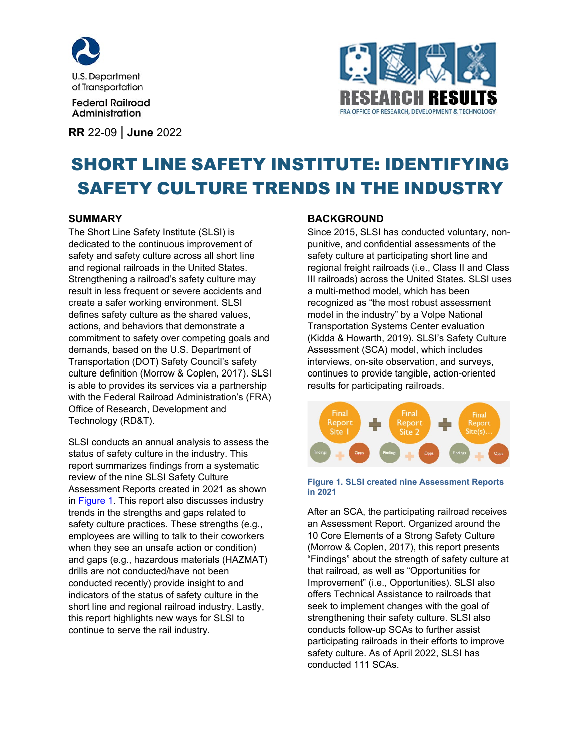

**Federal Railroad** Administration

**RR** 22-09 | **June** 2022



# SHORT LINE SAFETY INSTITUTE: IDENTIFYING SAFETY CULTURE TRENDS IN THE INDUSTRY

## **SUMMARY**

The Short Line Safety Institute (SLSI) is dedicated to the continuous improvement of safety and safety culture across all short line and regional railroads in the United States. Strengthening a railroad's safety culture may result in less frequent or severe accidents and create a safer working environment. SLSI defines safety culture as the shared values, actions, and behaviors that demonstrate a commitment to safety over competing goals and demands, based on the U.S. Department of Transportation (DOT) Safety Council's safety culture definition (Morrow & Coplen, 2017). SLSI is able to provides its services via a partnership with the Federal Railroad Administration's (FRA) Office of Research, Development and Technology (RD&T).

SLSI conducts an annual analysis to assess the status of safety culture in the industry. This report summarizes findings from a systematic review of the nine SLSI Safety Culture Assessment Reports created in 2021 as shown in [Figure 1.](#page-0-0) This report also discusses industry trends in the strengths and gaps related to safety culture practices. These strengths (e.g., employees are willing to talk to their coworkers when they see an unsafe action or condition) and gaps (e.g., hazardous materials (HAZMAT) drills are not conducted/have not been conducted recently) provide insight to and indicators of the status of safety culture in the short line and regional railroad industry. Lastly, this report highlights new ways for SLSI to continue to serve the rail industry.

#### **BACKGROUND**

Since 2015, SLSI has conducted voluntary, nonpunitive, and confidential assessments of the safety culture at participating short line and regional freight railroads (i.e., Class II and Class III railroads) across the United States. SLSI uses a multi-method model, which has been recognized as "the most robust assessment model in the industry" by a Volpe National Transportation Systems Center evaluation (Kidda & Howarth, 2019). SLSI's Safety Culture Assessment (SCA) model, which includes interviews, on-site observation, and surveys, continues to provide tangible, action-oriented results for participating railroads.



#### <span id="page-0-0"></span>**Figure 1. SLSI created nine Assessment Reports in 2021**

After an SCA, the participating railroad receives an Assessment Report. Organized around the 10 Core Elements of a Strong Safety Culture (Morrow & Coplen, 2017), this report presents "Findings" about the strength of safety culture at that railroad, as well as "Opportunities for Improvement" (i.e., Opportunities). SLSI also offers Technical Assistance to railroads that seek to implement changes with the goal of strengthening their safety culture. SLSI also conducts follow-up SCAs to further assist participating railroads in their efforts to improve safety culture. As of April 2022, SLSI has conducted 111 SCAs.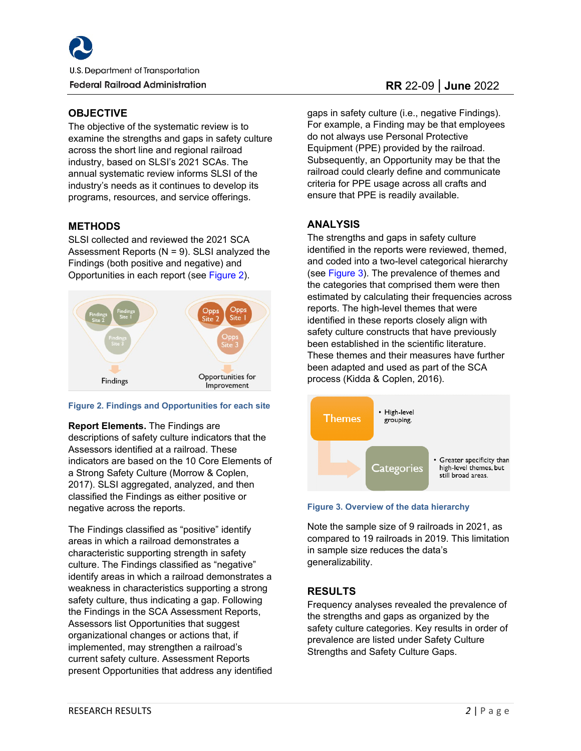#### **OBJECTIVE**

The objective of the systematic review is to examine the strengths and gaps in safety culture across the short line and regional railroad industry, based on SLSI's 2021 SCAs. The annual systematic review informs SLSI of the industry's needs as it continues to develop its programs, resources, and service offerings.

# **METHODS**

SLSI collected and reviewed the 2021 SCA Assessment Reports  $(N = 9)$ . SLSI analyzed the Findings (both positive and negative) and Opportunities in each report (see [Figure 2\)](#page-1-0).



#### <span id="page-1-0"></span>**Figure 2. Findings and Opportunities for each site**

#### **Report Elements.** The Findings are

descriptions of safety culture indicators that the Assessors identified at a railroad. These indicators are based on the 10 Core Elements of a Strong Safety Culture (Morrow & Coplen, 2017). SLSI aggregated, analyzed, and then classified the Findings as either positive or negative across the reports.

The Findings classified as "positive" identify areas in which a railroad demonstrates a characteristic supporting strength in safety culture. The Findings classified as "negative" identify areas in which a railroad demonstrates a weakness in characteristics supporting a strong safety culture, thus indicating a gap. Following the Findings in the SCA Assessment Reports, Assessors list Opportunities that suggest organizational changes or actions that, if implemented, may strengthen a railroad's current safety culture. Assessment Reports present Opportunities that address any identified

gaps in safety culture (i.e., negative Findings). For example, a Finding may be that employees do not always use Personal Protective Equipment (PPE) provided by the railroad. Subsequently, an Opportunity may be that the railroad could clearly define and communicate criteria for PPE usage across all crafts and ensure that PPE is readily available.

# **ANALYSIS**

The strengths and gaps in safety culture identified in the reports were reviewed, themed, and coded into a two-level categorical hierarchy (see [Figure 3\)](#page-1-1). The prevalence of themes and the categories that comprised them were then estimated by calculating their frequencies across reports. The high-level themes that were identified in these reports closely align with safety culture constructs that have previously been established in the scientific literature. These themes and their measures have further been adapted and used as part of the SCA process (Kidda & Coplen, 2016).



<span id="page-1-1"></span>**Figure 3. Overview of the data hierarchy**

Note the sample size of 9 railroads in 2021, as compared to 19 railroads in 2019. This limitation in sample size reduces the data's generalizability.

# **RESULTS**

Frequency analyses revealed the prevalence of the strengths and gaps as organized by the safety culture categories. Key results in order of prevalence are listed under Safety Culture Strengths and Safety Culture Gaps.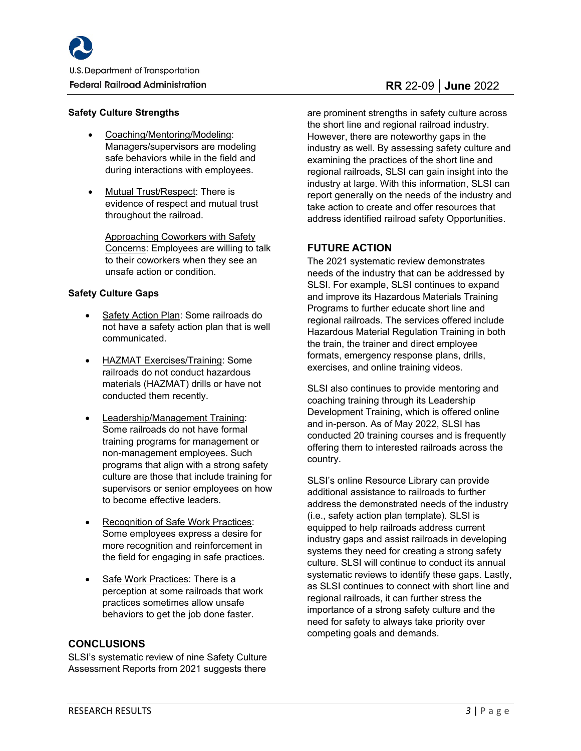#### **Safety Culture Strengths**

- Coaching/Mentoring/Modeling: Managers/supervisors are modeling safe behaviors while in the field and during interactions with employees.
- Mutual Trust/Respect: There is evidence of respect and mutual trust throughout the railroad.

Approaching Coworkers with Safety Concerns: Employees are willing to talk to their coworkers when they see an unsafe action or condition.

#### **Safety Culture Gaps**

- Safety Action Plan: Some railroads do not have a safety action plan that is well communicated.
- HAZMAT Exercises/Training: Some railroads do not conduct hazardous materials (HAZMAT) drills or have not conducted them recently.
- Leadership/Management Training: Some railroads do not have formal training programs for management or non-management employees. Such programs that align with a strong safety culture are those that include training for supervisors or senior employees on how to become effective leaders.
- Recognition of Safe Work Practices: Some employees express a desire for more recognition and reinforcement in the field for engaging in safe practices.
- Safe Work Practices: There is a perception at some railroads that work practices sometimes allow unsafe behaviors to get the job done faster.

#### **CONCLUSIONS**

SLSI's systematic review of nine Safety Culture Assessment Reports from 2021 suggests there

# **RR** 22-09 | **June** 2022

are prominent strengths in safety culture across the short line and regional railroad industry. However, there are noteworthy gaps in the industry as well. By assessing safety culture and examining the practices of the short line and regional railroads, SLSI can gain insight into the industry at large. With this information, SLSI can report generally on the needs of the industry and take action to create and offer resources that address identified railroad safety Opportunities.

## **FUTURE ACTION**

The 2021 systematic review demonstrates needs of the industry that can be addressed by SLSI. For example, SLSI continues to expand and improve its Hazardous Materials Training Programs to further educate short line and regional railroads. The services offered include Hazardous Material Regulation Training in both the train, the trainer and direct employee formats, emergency response plans, drills, exercises, and online training videos.

SLSI also continues to provide mentoring and coaching training through its Leadership Development Training, which is offered online and in-person. As of May 2022, SLSI has conducted 20 training courses and is frequently offering them to interested railroads across the country.

SLSI's online Resource Library can provide additional assistance to railroads to further address the demonstrated needs of the industry (i.e., safety action plan template). SLSI is equipped to help railroads address current industry gaps and assist railroads in developing systems they need for creating a strong safety culture. SLSI will continue to conduct its annual systematic reviews to identify these gaps. Lastly, as SLSI continues to connect with short line and regional railroads, it can further stress the importance of a strong safety culture and the need for safety to always take priority over competing goals and demands.